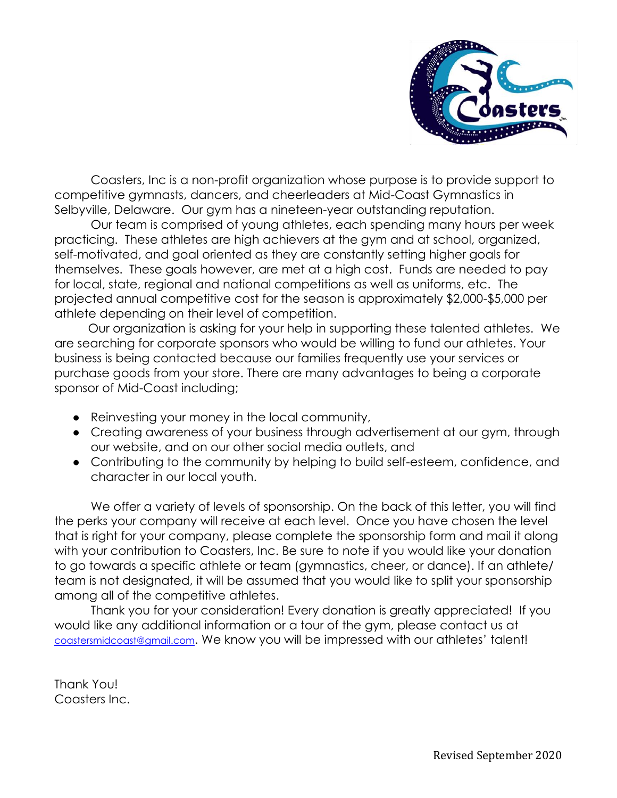

Coasters, Inc is a non-profit organization whose purpose is to provide support to competitive gymnasts, dancers, and cheerleaders at Mid-Coast Gymnastics in Selbyville, Delaware. Our gym has a nineteen-year outstanding reputation.

Our team is comprised of young athletes, each spending many hours per week practicing. These athletes are high achievers at the gym and at school, organized, self-motivated, and goal oriented as they are constantly setting higher goals for themselves. These goals however, are met at a high cost. Funds are needed to pay for local, state, regional and national competitions as well as uniforms, etc. The projected annual competitive cost for the season is approximately \$2,000-\$5,000 per athlete depending on their level of competition.

 Our organization is asking for your help in supporting these talented athletes. We are searching for corporate sponsors who would be willing to fund our athletes. Your business is being contacted because our families frequently use your services or purchase goods from your store. There are many advantages to being a corporate sponsor of Mid-Coast including;

- Reinvesting your money in the local community,
- Creating awareness of your business through advertisement at our gym, through our website, and on our other social media outlets, and
- Contributing to the community by helping to build self-esteem, confidence, and character in our local youth.

We offer a variety of levels of sponsorship. On the back of this letter, you will find the perks your company will receive at each level. Once you have chosen the level that is right for your company, please complete the sponsorship form and mail it along with your contribution to Coasters, Inc. Be sure to note if you would like your donation to go towards a specific athlete or team (gymnastics, cheer, or dance). If an athlete/ team is not designated, it will be assumed that you would like to split your sponsorship among all of the competitive athletes.

Thank you for your consideration! Every donation is greatly appreciated! If you would like any additional information or a tour of the gym, please contact us at [coastersmidcoast@gmail.com](mailto:coastersmidcoast@gmail.com). We know you will be impressed with our athletes' talent!

Thank You! Coasters Inc.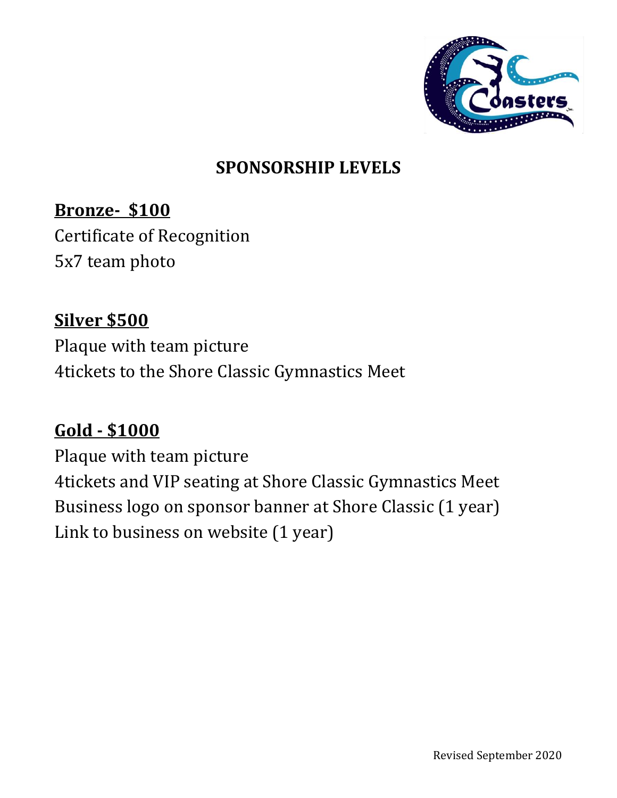

## **SPONSORSHIP LEVELS**

## **Bronze- \$100**

Certificate of Recognition 5x7 team photo

#### **Silver \$500**

Plaque with team picture 4tickets to the Shore Classic Gymnastics Meet

#### **Gold - \$1000**

Plaque with team picture 4tickets and VIP seating at Shore Classic Gymnastics Meet Business logo on sponsor banner at Shore Classic (1 year) Link to business on website (1 year)